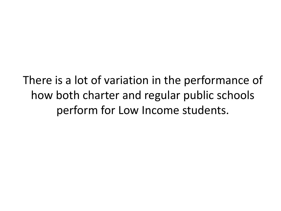There is a lot of variation in the performance of how both charter and regular public schools perform for Low Income students.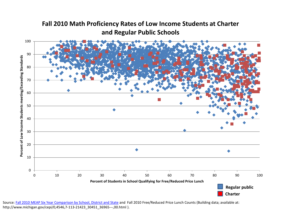

**Fall 2010 Math Proficiency Rates of Low Income Students at Charter** 

Source: [Fall 2010 MEAP Six Year Comparison by School, District and State](http://www.mdoe.state.mi.us/MDEDocuments/2005-2010GapAnalysis.zip) and Fall 2010 Free/Reduced Price Lunch Counts (Building data; available at: http://www.michigan.gov/cepi/0,4546,7-113-21423\_30451\_36965---,00.html ).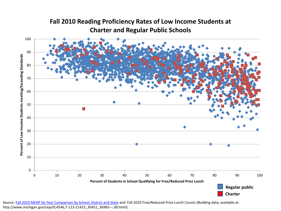

**Fall 2010 Reading Proficiency Rates of Low Income Students at Charter and Regular Public Schools**

Source: [Fall 2010 MEAP Six Year Comparison by School, District and State](http://www.mdoe.state.mi.us/MDEDocuments/2005-2010GapAnalysis.zip) and Fall 2010 Free/Reduced Price Lunch Counts (Building data; available at: http://www.michigan.gov/cepi/0,4546,7-113-21423\_30451\_36965---,00.html).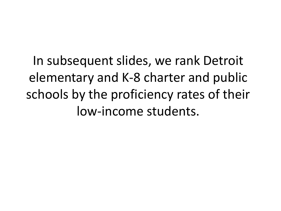In subsequent slides, we rank Detroit elementary and K-8 charter and public schools by the proficiency rates of their low-income students.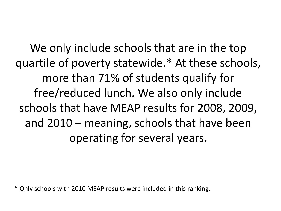We only include schools that are in the top quartile of poverty statewide.\* At these schools, more than 71% of students qualify for free/reduced lunch. We also only include schools that have MEAP results for 2008, 2009, and 2010 – meaning, schools that have been operating for several years.

\* Only schools with 2010 MEAP results were included in this ranking.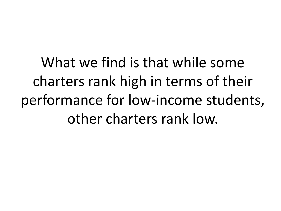What we find is that while some charters rank high in terms of their performance for low-income students, other charters rank low.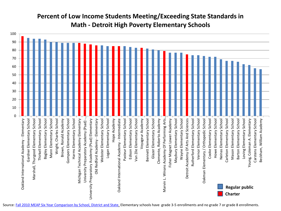## **Percent of Low Income Students Meeting/Exceeding State Standards in Math - Detroit High Poverty Elementary Schools**

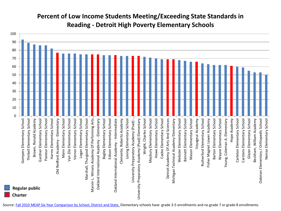## **Percent of Low Income Students Meeting/Exceeding State Standards in Reading - Detroit High Poverty Elementary Schools**



Source: [Fall 2010 MEAP Six Year Comparison by School, District and State.](http://www.mdoe.state.mi.us/MDEDocuments/2005-2010GapAnalysis.zip) Elementary schools have grade 3-5 enrollments and no grade 7 or grade 8 enrollments.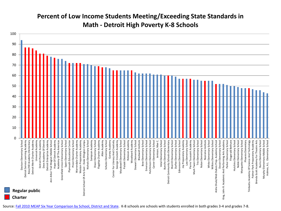## **Percent of Low Income Students Meeting/Exceeding State Standards in Math - Detroit High Poverty K-8 Schools**